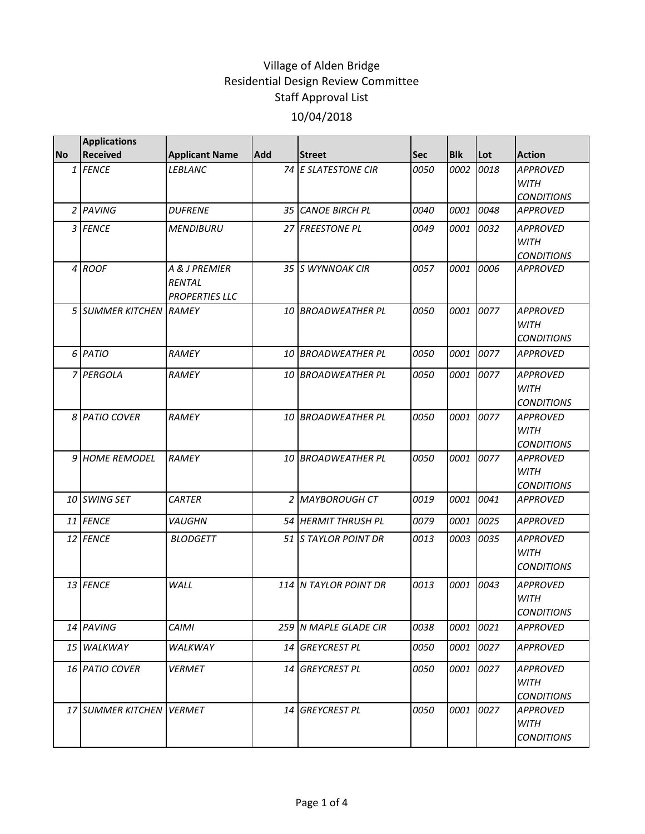|           | <b>Applications</b>      |                                                         |            |                       |      |            |      |                                                     |
|-----------|--------------------------|---------------------------------------------------------|------------|-----------------------|------|------------|------|-----------------------------------------------------|
| <b>No</b> | <b>Received</b>          | <b>Applicant Name</b>                                   | <b>Add</b> | <b>Street</b>         | Sec  | <b>Blk</b> | Lot  | <b>Action</b>                                       |
|           | 1 FENCE                  | <i>LEBLANC</i>                                          |            | 74 E SLATESTONE CIR   | 0050 | 0002       | 0018 | <b>APPROVED</b><br><b>WITH</b><br><b>CONDITIONS</b> |
|           | 2 PAVING                 | <b>DUFRENE</b>                                          |            | 35 CANOE BIRCH PL     | 0040 | 0001       | 0048 | <b>APPROVED</b>                                     |
|           | 3 FENCE                  | <b>MENDIBURU</b>                                        |            | 27 FREESTONE PL       | 0049 | 0001       | 0032 | <b>APPROVED</b><br><b>WITH</b><br><b>CONDITIONS</b> |
|           | 4 ROOF                   | A & J PREMIER<br><b>RENTAL</b><br><b>PROPERTIES LLC</b> |            | 35 IS WYNNOAK CIR     | 0057 | 0001       | 0006 | <b>APPROVED</b>                                     |
|           | 5 SUMMER KITCHEN RAMEY   |                                                         |            | 10 BROADWEATHER PL    | 0050 | 0001       | 0077 | <b>APPROVED</b><br><b>WITH</b><br><b>CONDITIONS</b> |
|           | 6 PATIO                  | RAMEY                                                   |            | 10 BROADWEATHER PL    | 0050 | 0001       | 0077 | <b>APPROVED</b>                                     |
|           | 7 PERGOLA                | RAMEY                                                   |            | 10 BROADWEATHER PL    | 0050 | 0001       | 0077 | <b>APPROVED</b><br><b>WITH</b><br><b>CONDITIONS</b> |
|           | 8 PATIO COVER            | <b>RAMEY</b>                                            |            | 10 BROADWEATHER PL    | 0050 | 0001       | 0077 | <b>APPROVED</b><br><b>WITH</b><br><b>CONDITIONS</b> |
|           | 9 HOME REMODEL           | <b>RAMEY</b>                                            |            | 10 BROADWEATHER PL    | 0050 | 0001       | 0077 | <b>APPROVED</b><br><b>WITH</b><br><b>CONDITIONS</b> |
|           | 10 SWING SET             | <b>CARTER</b>                                           |            | 2 MAYBOROUGH CT       | 0019 | 0001       | 0041 | <b>APPROVED</b>                                     |
|           | 11 FENCE                 | <b>VAUGHN</b>                                           |            | 54 HERMIT THRUSH PL   | 0079 | 0001       | 0025 | <b>APPROVED</b>                                     |
|           | 12 FENCE                 | <b>BLODGETT</b>                                         |            | 51 STAYLOR POINT DR   | 0013 | 0003       | 0035 | <b>APPROVED</b><br><b>WITH</b><br><b>CONDITIONS</b> |
|           | 13 FENCE                 | WALL                                                    |            | 114 N TAYLOR POINT DR | 0013 | 0001       | 0043 | <b>APPROVED</b><br><b>WITH</b><br><b>CONDITIONS</b> |
|           | 14 PAVING                | <b>CAIMI</b>                                            |            | 259 N MAPLE GLADE CIR | 0038 | 0001       | 0021 | <b>APPROVED</b>                                     |
|           | 15 WALKWAY               | WALKWAY                                                 |            | 14 GREYCREST PL       | 0050 | 0001       | 0027 | <b>APPROVED</b>                                     |
|           | 16 PATIO COVER           | <b>VERMET</b>                                           |            | 14 GREYCREST PL       | 0050 | 0001       | 0027 | <b>APPROVED</b><br><b>WITH</b><br><b>CONDITIONS</b> |
|           | 17 SUMMER KITCHEN VERMET |                                                         |            | 14 GREYCREST PL       | 0050 | 0001       | 0027 | <b>APPROVED</b><br>WITH<br><b>CONDITIONS</b>        |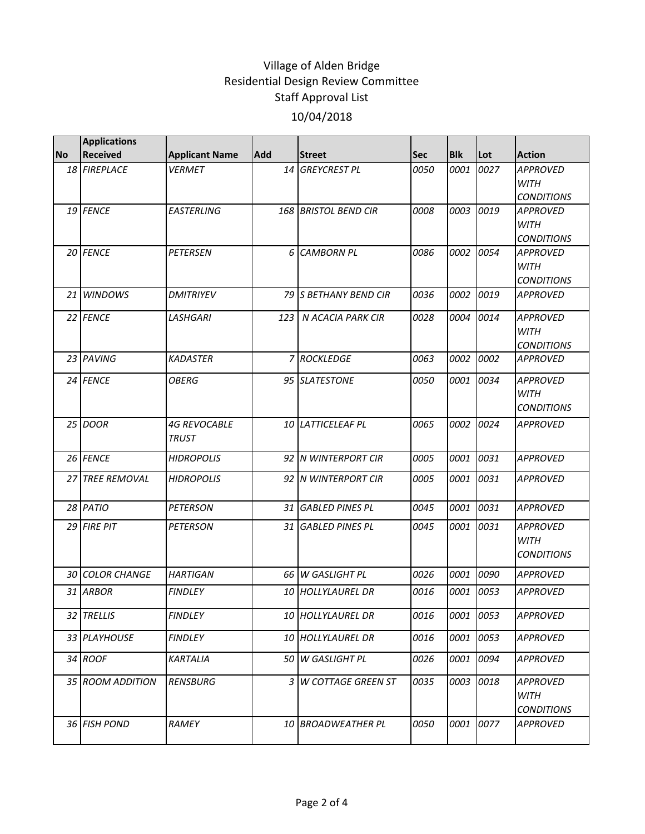|           | <b>Applications</b>    |                                     |     |                                 |             |            |           |                                      |
|-----------|------------------------|-------------------------------------|-----|---------------------------------|-------------|------------|-----------|--------------------------------------|
| <b>No</b> | <b>Received</b>        | <b>Applicant Name</b>               | Add | <b>Street</b>                   | Sec         | <b>Blk</b> | Lot       | <b>Action</b>                        |
|           | 18 FIREPLACE           | <b>VERMET</b>                       | 14  | <b>GREYCREST PL</b>             | 0050        | 0001       | 0027      | <b>APPROVED</b>                      |
|           |                        |                                     |     |                                 |             |            |           | <b>WITH</b>                          |
|           | 19 FENCE               | <b>EASTERLING</b>                   |     | 168 BRISTOL BEND CIR            | 0008        | 0003       | 0019      | <b>CONDITIONS</b><br><b>APPROVED</b> |
|           |                        |                                     |     |                                 |             |            |           | <b>WITH</b>                          |
|           |                        |                                     |     |                                 |             |            |           | <b>CONDITIONS</b>                    |
|           | 20 FENCE               | <b>PETERSEN</b>                     | 6   | <b>CAMBORN PL</b>               | 0086        | 0002       | 0054      | <b>APPROVED</b>                      |
|           |                        |                                     |     |                                 |             |            |           | <b>WITH</b>                          |
|           |                        |                                     |     |                                 |             |            |           | <b>CONDITIONS</b>                    |
| 21        | <b>WINDOWS</b>         | <b>DMITRIYEV</b>                    |     | 79 IS BETHANY BEND CIR          | 0036        | 0002       | 0019      | <b>APPROVED</b>                      |
|           | 22 FENCE               | <b>LASHGARI</b>                     | 123 | N ACACIA PARK CIR               | 0028        | 0004       | 0014      | <b>APPROVED</b>                      |
|           |                        |                                     |     |                                 |             |            |           | <b>WITH</b>                          |
|           |                        |                                     |     |                                 |             |            |           | <b>CONDITIONS</b>                    |
|           | 23 PAVING              | <b>KADASTER</b>                     |     | 7 ROCKLEDGE                     | 0063        | 0002       | 0002      | <b>APPROVED</b>                      |
|           | 24 FENCE               | <b>OBERG</b>                        |     | 95 SLATESTONE                   | 0050        | 0001       | 0034      | <b>APPROVED</b>                      |
|           |                        |                                     |     |                                 |             |            |           | <b>WITH</b>                          |
|           |                        |                                     |     |                                 |             |            |           | <b>CONDITIONS</b>                    |
|           | 25 DOOR                | <b>4G REVOCABLE</b><br><b>TRUST</b> |     | 10 LATTICELEAF PL               | 0065        | 0002       | 0024      | <b>APPROVED</b>                      |
|           | 26 FENCE               | <b>HIDROPOLIS</b>                   |     | 92 IN WINTERPORT CIR            | 0005        | 0001       | 0031      | <b>APPROVED</b>                      |
| 27        | <b>TREE REMOVAL</b>    | <b>HIDROPOLIS</b>                   |     | 92 N WINTERPORT CIR             | 0005        | 0001       | 0031      | <b>APPROVED</b>                      |
|           | 28 PATIO               | <b>PETERSON</b>                     |     | 31 GABLED PINES PL              | 0045        | 0001       | 0031      | <b>APPROVED</b>                      |
|           | 29 FIRE PIT            | <b>PETERSON</b>                     |     | 31 GABLED PINES PL              | 0045        | 0001       | 0031      | <b>APPROVED</b>                      |
|           |                        |                                     |     |                                 |             |            |           | <b>WITH</b>                          |
|           |                        |                                     |     |                                 |             |            |           | <b>CONDITIONS</b>                    |
|           | <b>30 COLOR CHANGE</b> | <b>HARTIGAN</b>                     |     | 66 W GASLIGHT PL                | 0026        | 0001       | 0090      | <b>APPROVED</b>                      |
|           | 31 ARBOR               | <b>FINDLEY</b>                      |     | 10 HOLLYLAUREL DR               | <i>0016</i> | 0001       | 0053      | <b>APPROVED</b>                      |
|           | 32 TRELLIS             | <b>FINDLEY</b>                      |     | 10 HOLLYLAUREL DR               | 0016        |            | 0001 0053 | APPROVED                             |
|           | <i>33 PLAYHOUSE</i>    | <b>FINDLEY</b>                      |     | <i><b>10 HOLLYLAUREL DR</b></i> | 0016        | 0001       | 0053      | APPROVED                             |
|           | 34 ROOF                | KARTALIA                            |     | 50 W GASLIGHT PL                | 0026        | 0001       | 0094      | <b>APPROVED</b>                      |
|           | 35 ROOM ADDITION       | <b>RENSBURG</b>                     | 3   | <b>W COTTAGE GREEN ST</b>       | 0035        | 0003       | 0018      | <b>APPROVED</b>                      |
|           |                        |                                     |     |                                 |             |            |           | WITH                                 |
|           |                        |                                     |     |                                 |             |            |           | <b>CONDITIONS</b>                    |
|           | 36 FISH POND           | RAMEY                               | 10  | <b>BROADWEATHER PL</b>          | 0050        | 0001       | 0077      | APPROVED                             |
|           |                        |                                     |     |                                 |             |            |           |                                      |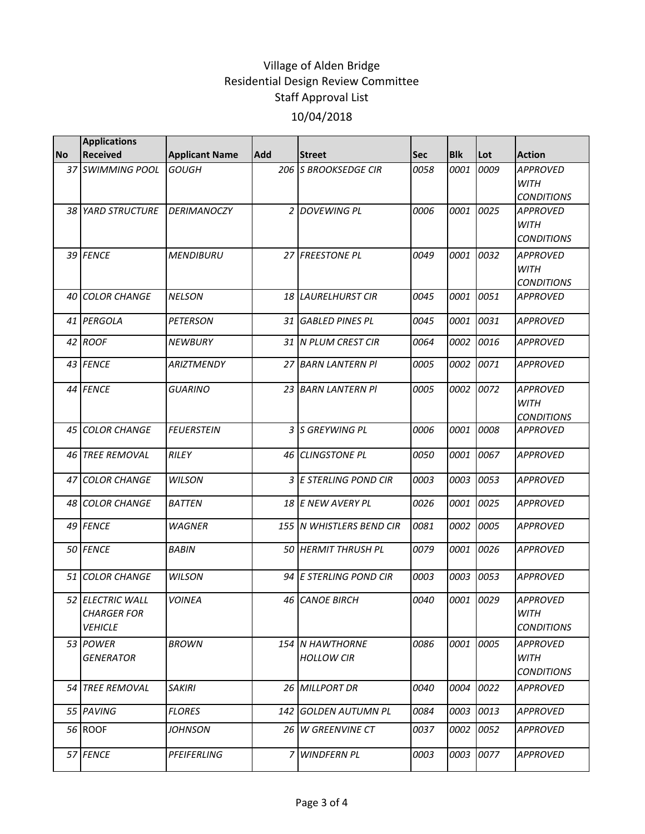|           | <b>Applications</b>                                             |                       |      |                               |            |             |      |                                                     |
|-----------|-----------------------------------------------------------------|-----------------------|------|-------------------------------|------------|-------------|------|-----------------------------------------------------|
| <b>No</b> | <b>Received</b>                                                 | <b>Applicant Name</b> | Add  | <b>Street</b>                 | <b>Sec</b> | <b>Blk</b>  | Lot  | Action                                              |
|           | 37 SWIMMING POOL                                                | <b>GOUGH</b>          |      | 206 S BROOKSEDGE CIR          | 0058       | 0001        | 0009 | <b>APPROVED</b><br><b>WITH</b><br><b>CONDITIONS</b> |
|           | 38 YARD STRUCTURE                                               | <b>DERIMANOCZY</b>    |      | 2 DOVEWING PL                 | 0006       | 0001        | 0025 | <b>APPROVED</b><br><b>WITH</b><br><b>CONDITIONS</b> |
|           | 39 FENCE                                                        | <b>MENDIBURU</b>      |      | 27 FREESTONE PL               | 0049       | 0001        | 0032 | <b>APPROVED</b><br><b>WITH</b><br><b>CONDITIONS</b> |
| 40        | <b>COLOR CHANGE</b>                                             | <b>NELSON</b>         | 18 I | <b>LAURELHURST CIR</b>        | 0045       | 0001        | 0051 | <b>APPROVED</b>                                     |
|           | 41 PERGOLA                                                      | <b>PETERSON</b>       |      | 31 GABLED PINES PL            | 0045       | 0001        | 0031 | <b>APPROVED</b>                                     |
|           | 42 ROOF                                                         | <b>NEWBURY</b>        |      | 31 N PLUM CREST CIR           | 0064       | 0002        | 0016 | <b>APPROVED</b>                                     |
|           | 43 FENCE                                                        | <b>ARIZTMENDY</b>     |      | 27 BARN LANTERN PI            | 0005       | 0002        | 0071 | <b>APPROVED</b>                                     |
|           | 44 FENCE                                                        | <b>GUARINO</b>        |      | 23 BARN LANTERN PI            | 0005       | 0002        | 0072 | <b>APPROVED</b><br><b>WITH</b><br><b>CONDITIONS</b> |
| 45 I      | <b>COLOR CHANGE</b>                                             | <b>FEUERSTEIN</b>     | 3    | S GREYWING PL                 | 0006       | 0001        | 0008 | <b>APPROVED</b>                                     |
| 46        | <b>TREE REMOVAL</b>                                             | <b>RILEY</b>          | 46   | <b>CLINGSTONE PL</b>          | 0050       | <i>0001</i> | 0067 | <b>APPROVED</b>                                     |
| 47        | <b>COLOR CHANGE</b>                                             | <b>WILSON</b>         |      | 3 E STERLING POND CIR         | 0003       | 0003        | 0053 | <b>APPROVED</b>                                     |
|           | 48 COLOR CHANGE                                                 | <b>BATTEN</b>         |      | 18 E NEW AVERY PL             | 0026       | 0001        | 0025 | <b>APPROVED</b>                                     |
|           | 49 FENCE                                                        | <b>WAGNER</b>         |      | 155 N WHISTLERS BEND CIR      | 0081       | 0002        | 0005 | <b>APPROVED</b>                                     |
|           | 50 FENCE                                                        | <b>BABIN</b>          |      | 50 HERMIT THRUSH PL           | 0079       | 0001        | 0026 | <b>APPROVED</b>                                     |
|           | 51 COLOR CHANGE                                                 | <b>WILSON</b>         |      | 94 E STERLING POND CIR        | 0003       | 0003        | 0053 | <b>APPROVED</b>                                     |
|           | <b>52 ELECTRIC WALL</b><br><b>CHARGER FOR</b><br><b>VEHICLE</b> | <b>VOINEA</b>         |      | <b>46 CANOE BIRCH</b>         | 0040       | 0001        | 0029 | <b>APPROVED</b><br><b>WITH</b><br><b>CONDITIONS</b> |
|           | 53 IPOWER<br>GENERATOR                                          | <b>BROWN</b>          |      | 154 N HAWTHORNE<br>HOLLOW CIR | 0086       | 0001        | 0005 | APPROVED<br><b>WITH</b><br><b>CONDITIONS</b>        |
|           | <b>54 TREE REMOVAL</b>                                          | <b>SAKIRI</b>         |      | 26 MILLPORT DR                | 0040       | 0004        | 0022 | <b>APPROVED</b>                                     |
|           | 55 PAVING                                                       | <b>FLORES</b>         |      | 142 GOLDEN AUTUMN PL          | 0084       | 0003        | 0013 | APPROVED                                            |
|           | 56 ROOF                                                         | <i>IOHNSON</i>        |      | 26 W GREENVINE CT             | 0037       | 0002        | 0052 | APPROVED                                            |
|           | 57 FENCE                                                        | PFEIFERLING           |      | 7 WINDFERN PL                 | 0003       | 0003        | 0077 | <b>APPROVED</b>                                     |